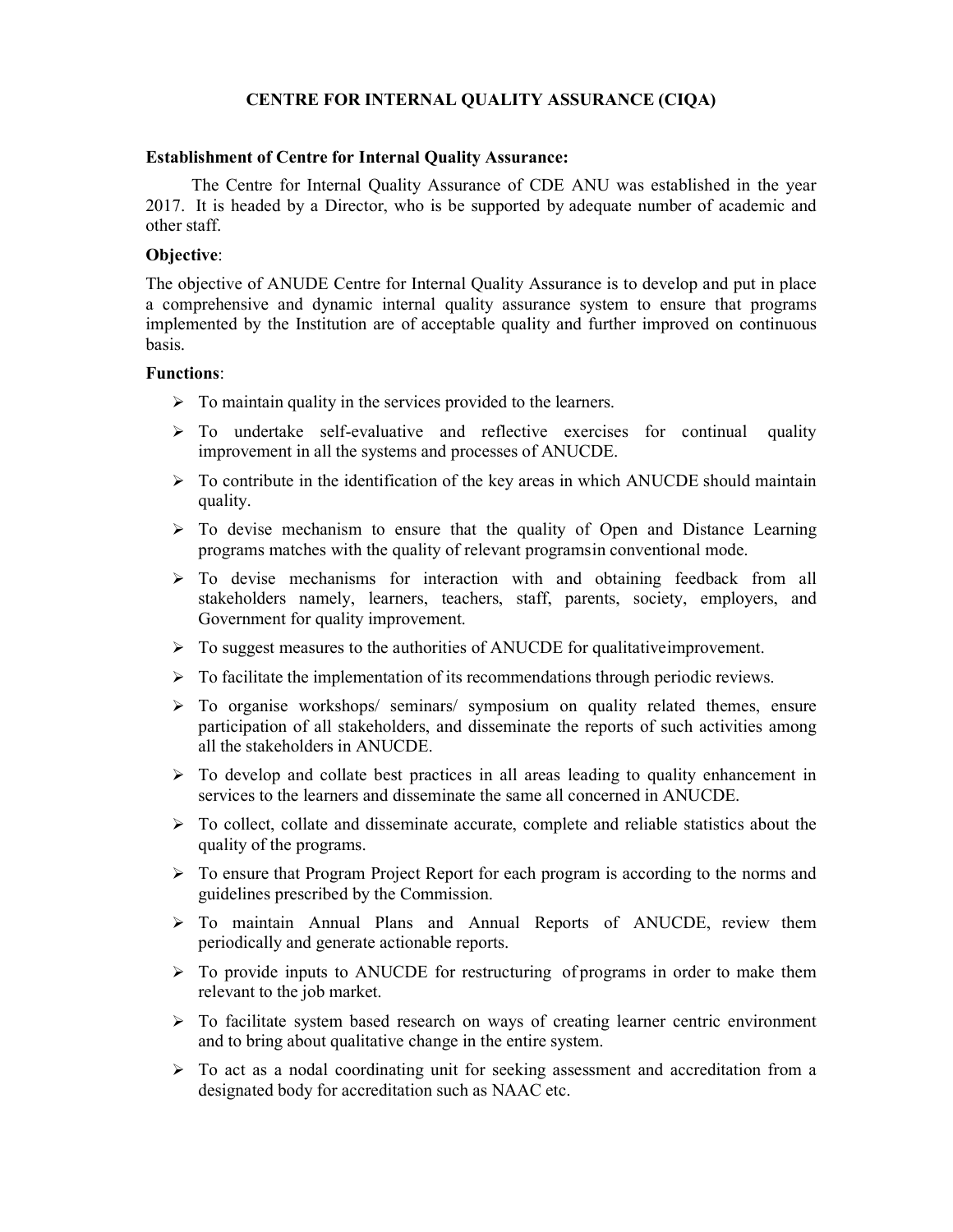# CENTRE FOR INTERNAL QUALITY ASSURANCE (CIQA)

#### Establishment of Centre for Internal Quality Assurance:

The Centre for Internal Quality Assurance of CDE ANU was established in the year 2017. It is headed by a Director, who is be supported by adequate number of academic and other staff.

## Objective:

The objective of ANUDE Centre for Internal Quality Assurance is to develop and put in place a comprehensive and dynamic internal quality assurance system to ensure that programs implemented by the Institution are of acceptable quality and further improved on continuous basis.

## Functions:

- $\triangleright$  To maintain quality in the services provided to the learners.
- $\triangleright$  To undertake self-evaluative and reflective exercises for continual quality improvement in all the systems and processes of ANUCDE.
- $\triangleright$  To contribute in the identification of the key areas in which ANUCDE should maintain quality.
- $\triangleright$  To devise mechanism to ensure that the quality of Open and Distance Learning programs matches with the quality of relevant programs in conventional mode.
- $\triangleright$  To devise mechanisms for interaction with and obtaining feedback from all stakeholders namely, learners, teachers, staff, parents, society, employers, and Government for quality improvement.
- $\triangleright$  To suggest measures to the authorities of ANUCDE for qualitative improvement.
- $\triangleright$  To facilitate the implementation of its recommendations through periodic reviews.
- $\triangleright$  To organise workshops/ seminars/ symposium on quality related themes, ensure participation of all stakeholders, and disseminate the reports of such activities among all the stakeholders in ANUCDE.
- $\triangleright$  To develop and collate best practices in all areas leading to quality enhancement in services to the learners and disseminate the same all concerned in ANUCDE.
- $\triangleright$  To collect, collate and disseminate accurate, complete and reliable statistics about the quality of the programs.
- $\triangleright$  To ensure that Program Project Report for each program is according to the norms and guidelines prescribed by the Commission.
- To maintain Annual Plans and Annual Reports of ANUCDE, review them periodically and generate actionable reports.
- $\triangleright$  To provide inputs to ANUCDE for restructuring of programs in order to make them relevant to the job market.
- $\triangleright$  To facilitate system based research on ways of creating learner centric environment and to bring about qualitative change in the entire system.
- $\triangleright$  To act as a nodal coordinating unit for seeking assessment and accreditation from a designated body for accreditation such as NAAC etc.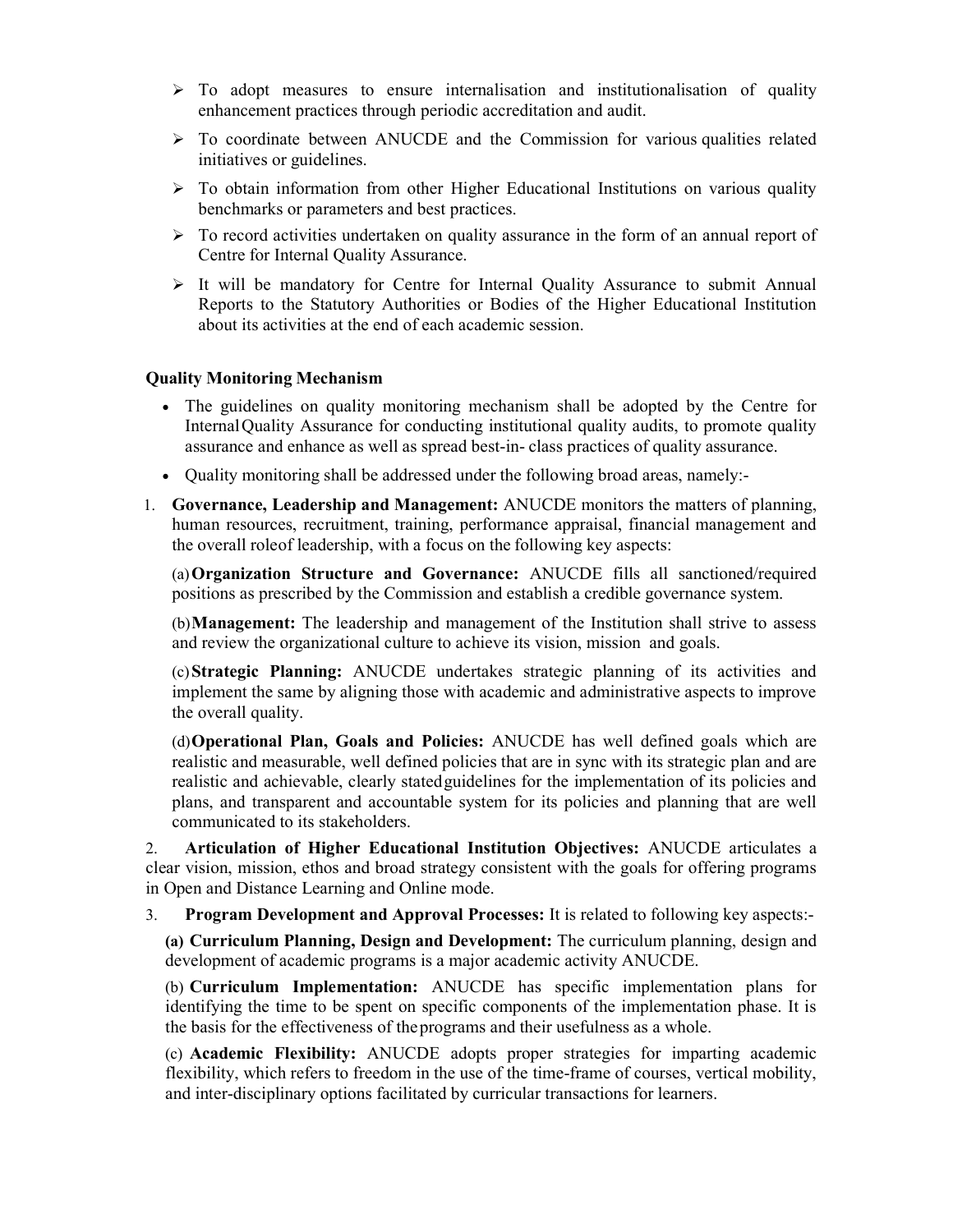- $\triangleright$  To adopt measures to ensure internalisation and institutionalisation of quality enhancement practices through periodic accreditation and audit.
- $\triangleright$  To coordinate between ANUCDE and the Commission for various qualities related initiatives or guidelines.
- $\triangleright$  To obtain information from other Higher Educational Institutions on various quality benchmarks or parameters and best practices.
- $\triangleright$  To record activities undertaken on quality assurance in the form of an annual report of Centre for Internal Quality Assurance.
- $\triangleright$  It will be mandatory for Centre for Internal Quality Assurance to submit Annual Reports to the Statutory Authorities or Bodies of the Higher Educational Institution about its activities at the end of each academic session.

### Quality Monitoring Mechanism

- The guidelines on quality monitoring mechanism shall be adopted by the Centre for Internal Quality Assurance for conducting institutional quality audits, to promote quality assurance and enhance as well as spread best-in- class practices of quality assurance.
- Quality monitoring shall be addressed under the following broad areas, namely:-
- 1. Governance, Leadership and Management: ANUCDE monitors the matters of planning, human resources, recruitment, training, performance appraisal, financial management and the overall role of leadership, with a focus on the following key aspects:

(a)Organization Structure and Governance: ANUCDE fills all sanctioned/required positions as prescribed by the Commission and establish a credible governance system.

(b)Management: The leadership and management of the Institution shall strive to assess and review the organizational culture to achieve its vision, mission and goals.

(c)Strategic Planning: ANUCDE undertakes strategic planning of its activities and implement the same by aligning those with academic and administrative aspects to improve the overall quality.

(d)Operational Plan, Goals and Policies: ANUCDE has well defined goals which are realistic and measurable, well defined policies that are in sync with its strategic plan and are realistic and achievable, clearly stated guidelines for the implementation of its policies and plans, and transparent and accountable system for its policies and planning that are well communicated to its stakeholders.

2. Articulation of Higher Educational Institution Objectives: ANUCDE articulates a clear vision, mission, ethos and broad strategy consistent with the goals for offering programs in Open and Distance Learning and Online mode.

3. Program Development and Approval Processes: It is related to following key aspects:-

(a) Curriculum Planning, Design and Development: The curriculum planning, design and development of academic programs is a major academic activity ANUCDE.

(b) Curriculum Implementation: ANUCDE has specific implementation plans for identifying the time to be spent on specific components of the implementation phase. It is the basis for the effectiveness of the programs and their usefulness as a whole.

(c) Academic Flexibility: ANUCDE adopts proper strategies for imparting academic flexibility, which refers to freedom in the use of the time-frame of courses, vertical mobility, and inter-disciplinary options facilitated by curricular transactions for learners.